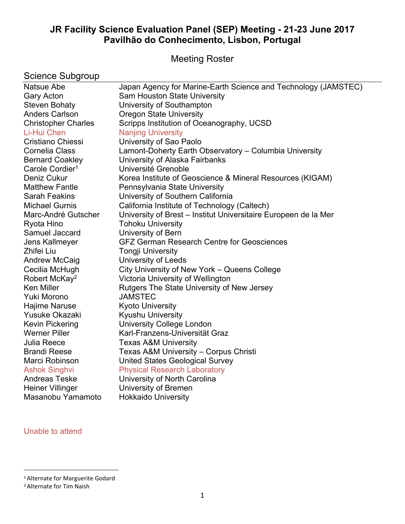# **JR Facility Science Evaluation Panel (SEP) Meeting - 21-23 June 2017 Pavilhão do Conhecimento, Lisbon, Portugal**

Meeting Roster

| <b>Science Subgroup</b>     |                                                                 |
|-----------------------------|-----------------------------------------------------------------|
| Natsue Abe                  | Japan Agency for Marine-Earth Science and Technology (JAMSTEC)  |
| <b>Gary Acton</b>           | Sam Houston State University                                    |
| <b>Steven Bohaty</b>        | University of Southampton                                       |
| <b>Anders Carlson</b>       | <b>Oregon State University</b>                                  |
| <b>Christopher Charles</b>  | Scripps Institution of Oceanography, UCSD                       |
| Li-Hui Chen                 | <b>Nanjing University</b>                                       |
| Cristiano Chiessi           | University of Sao Paolo                                         |
| <b>Cornelia Class</b>       | Lamont-Doherty Earth Observatory - Columbia University          |
| <b>Bernard Coakley</b>      | University of Alaska Fairbanks                                  |
| Carole Cordier <sup>1</sup> | Université Grenoble                                             |
| Deniz Cukur                 | Korea Institute of Geoscience & Mineral Resources (KIGAM)       |
| <b>Matthew Fantle</b>       | Pennsylvania State University                                   |
| <b>Sarah Feakins</b>        | University of Southern California                               |
| <b>Michael Gurnis</b>       | California Institute of Technology (Caltech)                    |
| Marc-André Gutscher         | University of Brest - Institut Universitaire Europeen de la Mer |
| Ryota Hino                  | <b>Tohoku University</b>                                        |
| Samuel Jaccard              | University of Bern                                              |
| Jens Kallmeyer              | <b>GFZ German Research Centre for Geosciences</b>               |
| Zhifei Liu                  | <b>Tongji University</b>                                        |
| <b>Andrew McCaig</b>        | <b>University of Leeds</b>                                      |
| Cecilia McHugh              | City University of New York - Queens College                    |
| Robert McKay <sup>2</sup>   | Victoria University of Wellington                               |
| <b>Ken Miller</b>           | Rutgers The State University of New Jersey                      |
| Yuki Morono                 | <b>JAMSTEC</b>                                                  |
| Hajime Naruse               | <b>Kyoto University</b>                                         |
| Yusuke Okazaki              | <b>Kyushu University</b>                                        |
| Kevin Pickering             | <b>University College London</b>                                |
| <b>Werner Piller</b>        | Karl-Franzens-Universität Graz                                  |
| Julia Reece                 | <b>Texas A&amp;M University</b>                                 |
| <b>Brandi Reese</b>         | Texas A&M University - Corpus Christi                           |
| Marci Robinson              | <b>United States Geological Survey</b>                          |
| <b>Ashok Singhvi</b>        | <b>Physical Research Laboratory</b>                             |
| <b>Andreas Teske</b>        | University of North Carolina                                    |
| <b>Heiner Villinger</b>     | University of Bremen                                            |
| Masanobu Yamamoto           | <b>Hokkaido University</b>                                      |
|                             |                                                                 |

Unable to attend

<sup>1</sup>Alternate for Marguerite Godard

<sup>2</sup> Alternate for Tim Naish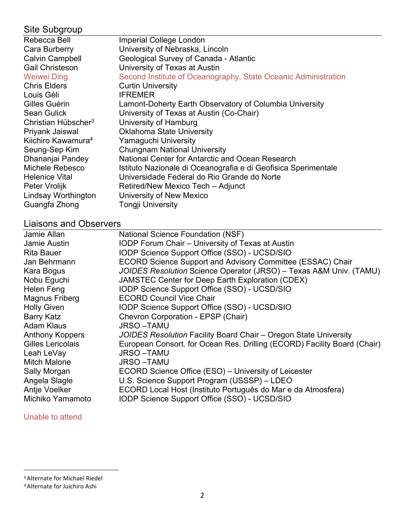## Site Subgroup

| Rebecca Bell                    | <b>Imperial College London</b>                                 |
|---------------------------------|----------------------------------------------------------------|
| Cara Burberry                   | University of Nebraska, Lincoln                                |
| <b>Calvin Campbell</b>          | Geological Survey of Canada - Atlantic                         |
| <b>Gail Christeson</b>          | University of Texas at Austin                                  |
| <b>Weiwei Ding</b>              | Second Institute of Oceanography, State Oceanic Administration |
| <b>Chris Elders</b>             | <b>Curtin University</b>                                       |
| Louis Géli                      | <b>IFREMER</b>                                                 |
| Gilles Guérin                   | Lamont-Doherty Earth Observatory of Columbia University        |
| <b>Sean Gulick</b>              | University of Texas at Austin (Co-Chair)                       |
| Christian Hübscher <sup>3</sup> | University of Hamburg                                          |
| Priyank Jaiswal                 | <b>Oklahoma State University</b>                               |
| Kiichiro Kawamura <sup>4</sup>  | Yamaguchi University                                           |
| Seung-Sep Kim                   | <b>Chungnam National University</b>                            |
| Dhananjai Pandey                | National Center for Antarctic and Ocean Research               |
| Michele Rebesco                 | Istituto Nazionale di Oceanografia e di Geofisica Sperimentale |
| <b>Helenice Vital</b>           | Universidade Federal do Rio Grande do Norte                    |
| Peter Vrolijk                   | Retired/New Mexico Tech - Adjunct                              |
| Lindsay Worthington             | University of New Mexico                                       |
| Guangfa Zhong                   | <b>Tongji University</b>                                       |
|                                 |                                                                |

# Liaisons and Observers

| Jamie Allan            | <b>National Science Foundation (NSF)</b>                                 |
|------------------------|--------------------------------------------------------------------------|
| Jamie Austin           | IODP Forum Chair - University of Texas at Austin                         |
| Rita Bauer             | IODP Science Support Office (SSO) - UCSD/SIO                             |
| Jan Behrmann           | ECORD Science Support and Advisory Committee (ESSAC) Chair               |
| Kara Bogus             | JOIDES Resolution Science Operator (JRSO) - Texas A&M Univ. (TAMU)       |
| Nobu Eguchi            | JAMSTEC Center for Deep Earth Exploration (CDEX)                         |
| Helen Feng             | IODP Science Support Office (SSO) - UCSD/SIO                             |
| Magnus Friberg         | <b>ECORD Council Vice Chair</b>                                          |
| <b>Holly Given</b>     | IODP Science Support Office (SSO) - UCSD/SIO                             |
| <b>Barry Katz</b>      | Chevron Corporation - EPSP (Chair)                                       |
| <b>Adam Klaus</b>      | <b>JRSO-TAMU</b>                                                         |
| <b>Anthony Koppers</b> | JOIDES Resolution Facility Board Chair – Oregon State University         |
| Gilles Lericolais      | European Consort. for Ocean Res. Drilling (ECORD) Facility Board (Chair) |
| Leah LeVay             | <b>JRSO-TAMU</b>                                                         |
| <b>Mitch Malone</b>    | <b>JRSO-TAMU</b>                                                         |
| Sally Morgan           | ECORD Science Office (ESO) - University of Leicester                     |
| Angela Slagle          | U.S. Science Support Program (USSSP) - LDEO                              |
| Antje Voelker          | ECORD Local Host (Instituto Português do Mar e da Atmosfera)             |
| Michiko Yamamoto       | IODP Science Support Office (SSO) - UCSD/SIO                             |
|                        |                                                                          |

## Unable to attend

<sup>3</sup>Alternate for Michael Riedel

<sup>4</sup> Alternate for Juichiro Ashi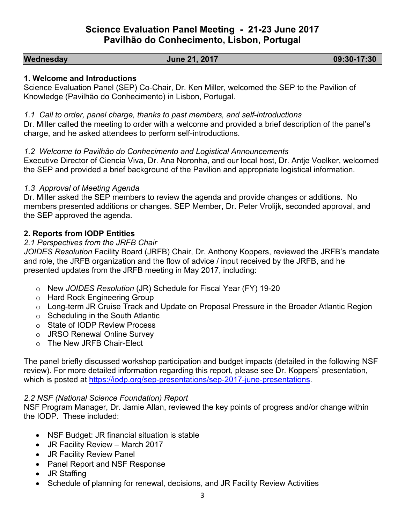# **Science Evaluation Panel Meeting - 21-23 June 2017 Pavilhão do Conhecimento, Lisbon, Portugal**

### **Wednesday June 21, 2017 09:30-17:30**

### **1. Welcome and Introductions**

Science Evaluation Panel (SEP) Co-Chair, Dr. Ken Miller, welcomed the SEP to the Pavilion of Knowledge (Pavilhão do Conhecimento) in Lisbon, Portugal.

*1.1 Call to order, panel charge, thanks to past members, and self-introductions*

Dr. Miller called the meeting to order with a welcome and provided a brief description of the panel's charge, and he asked attendees to perform self-introductions.

### *1.2 Welcome to Pavilhão do Conhecimento and Logistical Announcements*

Executive Director of Ciencia Viva, Dr. Ana Noronha, and our local host, Dr. Antje Voelker, welcomed the SEP and provided a brief background of the Pavilion and appropriate logistical information.

### *1.3 Approval of Meeting Agenda*

Dr. Miller asked the SEP members to review the agenda and provide changes or additions. No members presented additions or changes. SEP Member, Dr. Peter Vrolijk, seconded approval, and the SEP approved the agenda.

## **2. Reports from IODP Entities**

### *2.1 Perspectives from the JRFB Chair*

*JOIDES Resolution* Facility Board (JRFB) Chair, Dr. Anthony Koppers, reviewed the JRFB's mandate and role, the JRFB organization and the flow of advice / input received by the JRFB, and he presented updates from the JRFB meeting in May 2017, including:

- o New *JOIDES Resolution* (JR) Schedule for Fiscal Year (FY) 19-20
- o Hard Rock Engineering Group
- o Long-term JR Cruise Track and Update on Proposal Pressure in the Broader Atlantic Region
- $\circ$  Scheduling in the South Atlantic
- o State of IODP Review Process
- o JRSO Renewal Online Survey
- o The New JRFB Chair-Elect

The panel briefly discussed workshop participation and budget impacts (detailed in the following NSF review). For more detailed information regarding this report, please see Dr. Koppers' presentation, which is posted at [https://iodp.org/sep-presentations/sep-2017-june-presentations.](https://iodp.org/sep-presentations/sep-2017-june-presentations)

### *2.2 NSF (National Science Foundation) Report*

NSF Program Manager, Dr. Jamie Allan, reviewed the key points of progress and/or change within the IODP. These included:

- NSF Budget: JR financial situation is stable
- JR Facility Review March 2017
- JR Facility Review Panel
- Panel Report and NSF Response
- JR Staffing
- Schedule of planning for renewal, decisions, and JR Facility Review Activities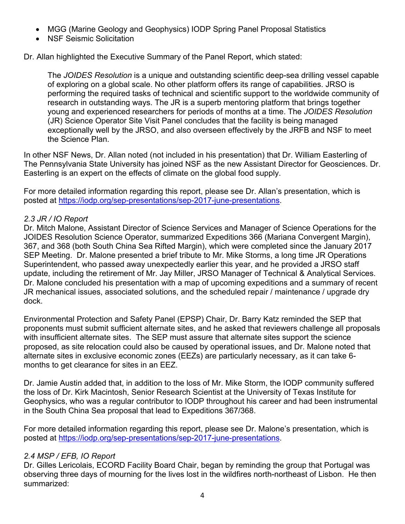- MGG (Marine Geology and Geophysics) IODP Spring Panel Proposal Statistics
- NSF Seismic Solicitation

Dr. Allan highlighted the Executive Summary of the Panel Report, which stated:

The *JOIDES Resolution* is a unique and outstanding scientific deep-sea drilling vessel capable of exploring on a global scale. No other platform offers its range of capabilities. JRSO is performing the required tasks of technical and scientific support to the worldwide community of research in outstanding ways. The JR is a superb mentoring platform that brings together young and experienced researchers for periods of months at a time. The *JOIDES Resolution* (JR) Science Operator Site Visit Panel concludes that the facility is being managed exceptionally well by the JRSO, and also overseen effectively by the JRFB and NSF to meet the Science Plan.

In other NSF News, Dr. Allan noted (not included in his presentation) that Dr. William Easterling of The Pennsylvania State University has joined NSF as the new Assistant Director for Geosciences. Dr. Easterling is an expert on the effects of climate on the global food supply.

For more detailed information regarding this report, please see Dr. Allan's presentation, which is posted at [https://iodp.org/sep-presentations/sep-2017-june-presentations.](https://iodp.org/sep-presentations/sep-2017-june-presentations)

### *2.3 JR / IO Report*

Dr. Mitch Malone, Assistant Director of Science Services and Manager of Science Operations for the JOIDES Resolution Science Operator, summarized Expeditions 366 (Mariana Convergent Margin), 367, and 368 (both South China Sea Rifted Margin), which were completed since the January 2017 SEP Meeting. Dr. Malone presented a brief tribute to Mr. Mike Storms, a long time JR Operations Superintendent, who passed away unexpectedly earlier this year, and he provided a JRSO staff update, including the retirement of Mr. Jay Miller, JRSO Manager of Technical & Analytical Services. Dr. Malone concluded his presentation with a map of upcoming expeditions and a summary of recent JR mechanical issues, associated solutions, and the scheduled repair / maintenance / upgrade dry dock.

Environmental Protection and Safety Panel (EPSP) Chair, Dr. Barry Katz reminded the SEP that proponents must submit sufficient alternate sites, and he asked that reviewers challenge all proposals with insufficient alternate sites. The SEP must assure that alternate sites support the science proposed, as site relocation could also be caused by operational issues, and Dr. Malone noted that alternate sites in exclusive economic zones (EEZs) are particularly necessary, as it can take 6 months to get clearance for sites in an EEZ.

Dr. Jamie Austin added that, in addition to the loss of Mr. Mike Storm, the IODP community suffered the loss of Dr. Kirk Macintosh, Senior Research Scientist at the University of Texas Institute for Geophysics, who was a regular contributor to IODP throughout his career and had been instrumental in the South China Sea proposal that lead to Expeditions 367/368.

For more detailed information regarding this report, please see Dr. Malone's presentation, which is posted at [https://iodp.org/sep-presentations/sep-2017-june-presentations.](https://iodp.org/sep-presentations/sep-2017-june-presentations)

## *2.4 MSP / EFB, IO Report*

Dr. Gilles Lericolais, ECORD Facility Board Chair, began by reminding the group that Portugal was observing three days of mourning for the lives lost in the wildfires north-northeast of Lisbon. He then summarized: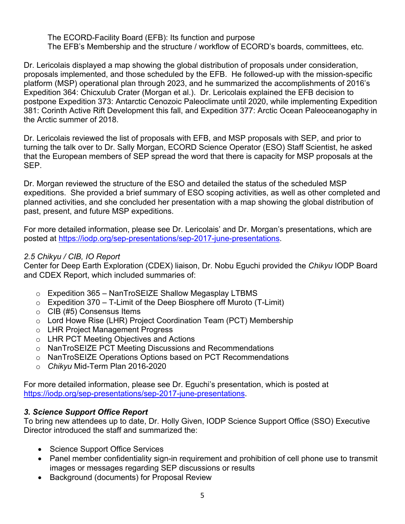The ECORD-Facility Board (EFB): Its function and purpose The EFB's Membership and the structure / workflow of ECORD's boards, committees, etc.

Dr. Lericolais displayed a map showing the global distribution of proposals under consideration, proposals implemented, and those scheduled by the EFB. He followed-up with the mission-specific platform (MSP) operational plan through 2023, and he summarized the accomplishments of 2016's Expedition 364: Chicxulub Crater (Morgan et al.). Dr. Lericolais explained the EFB decision to postpone Expedition 373: Antarctic Cenozoic Paleoclimate until 2020, while implementing Expedition 381: Corinth Active Rift Development this fall, and Expedition 377: Arctic Ocean Paleoceanogaphy in the Arctic summer of 2018.

Dr. Lericolais reviewed the list of proposals with EFB, and MSP proposals with SEP, and prior to turning the talk over to Dr. Sally Morgan, ECORD Science Operator (ESO) Staff Scientist, he asked that the European members of SEP spread the word that there is capacity for MSP proposals at the SEP.

Dr. Morgan reviewed the structure of the ESO and detailed the status of the scheduled MSP expeditions. She provided a brief summary of ESO scoping activities, as well as other completed and planned activities, and she concluded her presentation with a map showing the global distribution of past, present, and future MSP expeditions.

For more detailed information, please see Dr. Lericolais' and Dr. Morgan's presentations, which are posted at [https://iodp.org/sep-presentations/sep-2017-june-presentations.](https://iodp.org/sep-presentations/sep-2017-june-presentations)

## *2.5 Chikyu / CIB, IO Report*

Center for Deep Earth Exploration (CDEX) liaison, Dr. Nobu Eguchi provided the *Chikyu* IODP Board and CDEX Report, which included summaries of:

- o Expedition 365 NanTroSEIZE Shallow Megasplay LTBMS
- $\circ$  Expedition 370 T-Limit of the Deep Biosphere off Muroto (T-Limit)
- $\circ$  CIB (#5) Consensus Items
- o Lord Howe Rise (LHR) Project Coordination Team (PCT) Membership
- o LHR Project Management Progress
- o LHR PCT Meeting Objectives and Actions
- o NanTroSEIZE PCT Meeting Discussions and Recommendations
- o NanTroSEIZE Operations Options based on PCT Recommendations
- o *Chikyu* Mid-Term Plan 2016-2020

For more detailed information, please see Dr. Eguchi's presentation, which is posted at <https://iodp.org/sep-presentations/sep-2017-june-presentations>.

## *3. Science Support Office Report*

To bring new attendees up to date, Dr. Holly Given, IODP Science Support Office (SSO) Executive Director introduced the staff and summarized the:

- Science Support Office Services
- Panel member confidentiality sign-in requirement and prohibition of cell phone use to transmit images or messages regarding SEP discussions or results
- Background (documents) for Proposal Review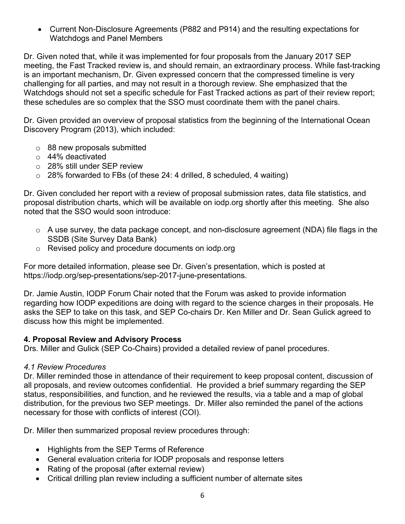Current Non-Disclosure Agreements (P882 and P914) and the resulting expectations for Watchdogs and Panel Members

Dr. Given noted that, while it was implemented for four proposals from the January 2017 SEP meeting, the Fast Tracked review is, and should remain, an extraordinary process. While fast-tracking is an important mechanism, Dr. Given expressed concern that the compressed timeline is very challenging for all parties, and may not result in a thorough review. She emphasized that the Watchdogs should not set a specific schedule for Fast Tracked actions as part of their review report; these schedules are so complex that the SSO must coordinate them with the panel chairs.

Dr. Given provided an overview of proposal statistics from the beginning of the International Ocean Discovery Program (2013), which included:

- o 88 new proposals submitted
- o 44% deactivated
- o 28% still under SEP review
- $\circ$  28% forwarded to FBs (of these 24: 4 drilled, 8 scheduled, 4 waiting)

Dr. Given concluded her report with a review of proposal submission rates, data file statistics, and proposal distribution charts, which will be available on iodp.org shortly after this meeting. She also noted that the SSO would soon introduce:

- o A use survey, the data package concept, and non-disclosure agreement (NDA) file flags in the SSDB (Site Survey Data Bank)
- o Revised policy and procedure documents on iodp.org

For more detailed information, please see Dr. Given's presentation, which is posted at https://iodp.org/sep-presentations/sep-2017-june-presentations.

Dr. Jamie Austin, IODP Forum Chair noted that the Forum was asked to provide information regarding how IODP expeditions are doing with regard to the science charges in their proposals. He asks the SEP to take on this task, and SEP Co-chairs Dr. Ken Miller and Dr. Sean Gulick agreed to discuss how this might be implemented.

### **4. Proposal Review and Advisory Process**

Drs. Miller and Gulick (SEP Co-Chairs) provided a detailed review of panel procedures.

### *4.1 Review Procedures*

Dr. Miller reminded those in attendance of their requirement to keep proposal content, discussion of all proposals, and review outcomes confidential. He provided a brief summary regarding the SEP status, responsibilities, and function, and he reviewed the results, via a table and a map of global distribution, for the previous two SEP meetings. Dr. Miller also reminded the panel of the actions necessary for those with conflicts of interest (COI).

Dr. Miller then summarized proposal review procedures through:

- Highlights from the SEP Terms of Reference
- General evaluation criteria for IODP proposals and response letters
- Rating of the proposal (after external review)
- Critical drilling plan review including a sufficient number of alternate sites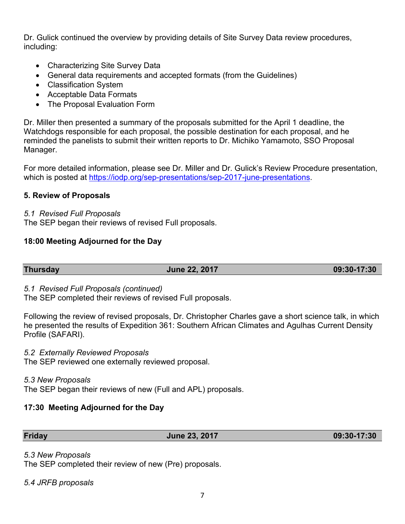Dr. Gulick continued the overview by providing details of Site Survey Data review procedures, including:

- Characterizing Site Survey Data
- General data requirements and accepted formats (from the Guidelines)
- Classification System
- Acceptable Data Formats
- The Proposal Evaluation Form

Dr. Miller then presented a summary of the proposals submitted for the April 1 deadline, the Watchdogs responsible for each proposal, the possible destination for each proposal, and he reminded the panelists to submit their written reports to Dr. Michiko Yamamoto, SSO Proposal Manager.

For more detailed information, please see Dr. Miller and Dr. Gulick's Review Procedure presentation, which is posted at [https://iodp.org/sep-presentations/sep-2017-june-presentations.](https://iodp.org/sep-presentations/sep-2017-june-presentations)

## **5. Review of Proposals**

### *5.1 Revised Full Proposals*

The SEP began their reviews of revised Full proposals.

## **18:00 Meeting Adjourned for the Day**

**Thursday June 22, 2017 09:30-17:30** 

### *5.1 Revised Full Proposals (continued)*

The SEP completed their reviews of revised Full proposals.

Following the review of revised proposals, Dr. Christopher Charles gave a short science talk, in which he presented the results of Expedition 361: Southern African Climates and Agulhas Current Density Profile (SAFARI).

*5.2 Externally Reviewed Proposals*

The SEP reviewed one externally reviewed proposal.

### *5.3 New Proposals*

The SEP began their reviews of new (Full and APL) proposals.

## **17:30 Meeting Adjourned for the Day**

**Friday June 23, 2017 09:30-17:30** 

## *5.3 New Proposals*

The SEP completed their review of new (Pre) proposals.

*5.4 JRFB proposals*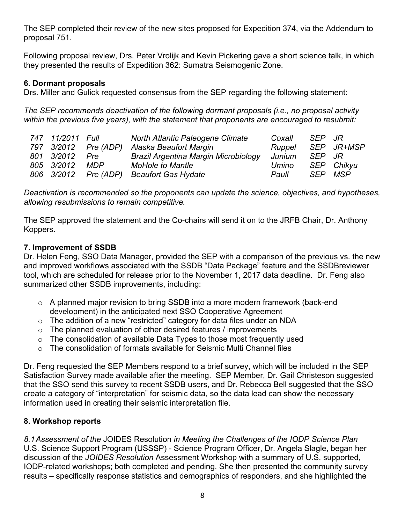The SEP completed their review of the new sites proposed for Expedition 374, via the Addendum to proposal 751.

Following proposal review, Drs. Peter Vrolijk and Kevin Pickering gave a short science talk, in which they presented the results of Expedition 362: Sumatra Seismogenic Zone.

### **6. Dormant proposals**

Drs. Miller and Gulick requested consensus from the SEP regarding the following statement:

*The SEP recommends deactivation of the following dormant proposals (i.e., no proposal activity within the previous five years), with the statement that proponents are encouraged to resubmit:* 

| 747 11/2011 Full |                      | North Atlantic Paleogene Climate     | Coxall | SFP JR |            |
|------------------|----------------------|--------------------------------------|--------|--------|------------|
|                  | 797 3/2012 Pre (ADP) | Alaska Beaufort Margin               | Ruppel |        | SEP JR+MSP |
| 801 3/2012       | <b>Pre</b>           | Brazil Argentina Margin Microbiology | Junium | SEP JR |            |
| 805 3/2012       | <b>MDP</b>           | <b>MoHole to Mantle</b>              | Umino  |        | SEP Chikyu |
|                  | 806 3/2012 Pre (ADP) | Beaufort Gas Hydate                  | Paull  |        | SEP MSP    |

*Deactivation is recommended so the proponents can update the science, objectives, and hypotheses, allowing resubmissions to remain competitive.*

The SEP approved the statement and the Co-chairs will send it on to the JRFB Chair, Dr. Anthony Koppers.

### **7. Improvement of SSDB**

Dr. Helen Feng, SSO Data Manager, provided the SEP with a comparison of the previous vs. the new and improved workflows associated with the SSDB "Data Package" feature and the SSDBreviewer tool, which are scheduled for release prior to the November 1, 2017 data deadline. Dr. Feng also summarized other SSDB improvements, including:

- o A planned major revision to bring SSDB into a more modern framework (back-end development) in the anticipated next SSO Cooperative Agreement
- $\circ$  The addition of a new "restricted" category for data files under an NDA
- $\circ$  The planned evaluation of other desired features / improvements
- o The consolidation of available Data Types to those most frequently used
- $\circ$  The consolidation of formats available for Seismic Multi Channel files

Dr. Feng requested the SEP Members respond to a brief survey, which will be included in the SEP Satisfaction Survey made available after the meeting. SEP Member, Dr. Gail Christeson suggested that the SSO send this survey to recent SSDB users, and Dr. Rebecca Bell suggested that the SSO create a category of "interpretation" for seismic data, so the data lead can show the necessary information used in creating their seismic interpretation file.

## **8. Workshop reports**

*8.1Assessment of the* JOIDES Resolution *in Meeting the Challenges of the IODP Science Plan* U.S. Science Support Program (USSSP) - Science Program Officer, Dr. Angela Slagle, began her discussion of the *JOIDES Resolution* Assessment Workshop with a summary of U.S. supported, IODP-related workshops; both completed and pending. She then presented the community survey results – specifically response statistics and demographics of responders, and she highlighted the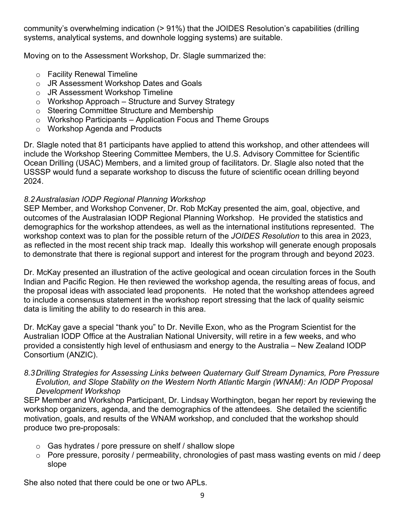community's overwhelming indication (> 91%) that the JOIDES Resolution's capabilities (drilling systems, analytical systems, and downhole logging systems) are suitable.

Moving on to the Assessment Workshop, Dr. Slagle summarized the:

- o Facility Renewal Timeline
- o JR Assessment Workshop Dates and Goals
- o JR Assessment Workshop Timeline
- $\circ$  Workshop Approach Structure and Survey Strategy
- o Steering Committee Structure and Membership
- $\circ$  Workshop Participants Application Focus and Theme Groups
- o Workshop Agenda and Products

Dr. Slagle noted that 81 participants have applied to attend this workshop, and other attendees will include the Workshop Steering Committee Members, the U.S. Advisory Committee for Scientific Ocean Drilling (USAC) Members, and a limited group of facilitators. Dr. Slagle also noted that the USSSP would fund a separate workshop to discuss the future of scientific ocean drilling beyond 2024.

## *8.2Australasian IODP Regional Planning Workshop*

SEP Member, and Workshop Convener, Dr. Rob McKay presented the aim, goal, objective, and outcomes of the Australasian IODP Regional Planning Workshop. He provided the statistics and demographics for the workshop attendees, as well as the international institutions represented. The workshop context was to plan for the possible return of the *JOIDES Resolution* to this area in 2023, as reflected in the most recent ship track map. Ideally this workshop will generate enough proposals to demonstrate that there is regional support and interest for the program through and beyond 2023.

Dr. McKay presented an illustration of the active geological and ocean circulation forces in the South Indian and Pacific Region. He then reviewed the workshop agenda, the resulting areas of focus, and the proposal ideas with associated lead proponents. He noted that the workshop attendees agreed to include a consensus statement in the workshop report stressing that the lack of quality seismic data is limiting the ability to do research in this area.

Dr. McKay gave a special "thank you" to Dr. Neville Exon, who as the Program Scientist for the Australian IODP Office at the Australian National University, will retire in a few weeks, and who provided a consistently high level of enthusiasm and energy to the Australia – New Zealand IODP Consortium (ANZIC).

### *8.3Drilling Strategies for Assessing Links between Quaternary Gulf Stream Dynamics, Pore Pressure Evolution, and Slope Stability on the Western North Atlantic Margin (WNAM): An IODP Proposal Development Workshop*

SEP Member and Workshop Participant, Dr. Lindsay Worthington, began her report by reviewing the workshop organizers, agenda, and the demographics of the attendees. She detailed the scientific motivation, goals, and results of the WNAM workshop, and concluded that the workshop should produce two pre-proposals:

- $\circ$  Gas hydrates / pore pressure on shelf / shallow slope
- $\circ$  Pore pressure, porosity / permeability, chronologies of past mass wasting events on mid / deep slope

She also noted that there could be one or two APLs.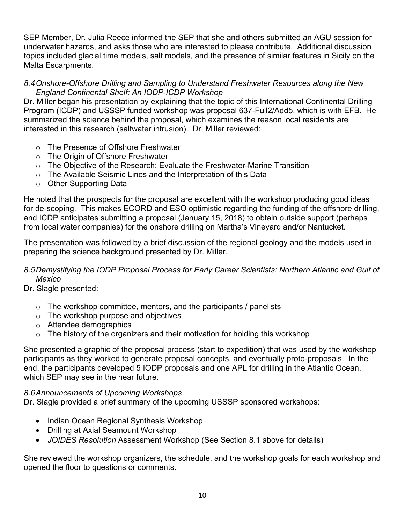SEP Member, Dr. Julia Reece informed the SEP that she and others submitted an AGU session for underwater hazards, and asks those who are interested to please contribute. Additional discussion topics included glacial time models, salt models, and the presence of similar features in Sicily on the Malta Escarpments.

### *8.4Onshore-Offshore Drilling and Sampling to Understand Freshwater Resources along the New England Continental Shelf: An IODP-ICDP Workshop*

Dr. Miller began his presentation by explaining that the topic of this International Continental Drilling Program (ICDP) and USSSP funded workshop was proposal 637-Full2/Add5, which is with EFB. He summarized the science behind the proposal, which examines the reason local residents are interested in this research (saltwater intrusion). Dr. Miller reviewed:

- o The Presence of Offshore Freshwater
- o The Origin of Offshore Freshwater
- o The Objective of the Research: Evaluate the Freshwater-Marine Transition
- $\circ$  The Available Seismic Lines and the Interpretation of this Data
- o Other Supporting Data

He noted that the prospects for the proposal are excellent with the workshop producing good ideas for de-scoping. This makes ECORD and ESO optimistic regarding the funding of the offshore drilling, and ICDP anticipates submitting a proposal (January 15, 2018) to obtain outside support (perhaps from local water companies) for the onshore drilling on Martha's Vineyard and/or Nantucket.

The presentation was followed by a brief discussion of the regional geology and the models used in preparing the science background presented by Dr. Miller.

## *8.5Demystifying the IODP Proposal Process for Early Career Scientists: Northern Atlantic and Gulf of Mexico*

Dr. Slagle presented:

- $\circ$  The workshop committee, mentors, and the participants / panelists
- o The workshop purpose and objectives
- o Attendee demographics
- $\circ$  The history of the organizers and their motivation for holding this workshop

She presented a graphic of the proposal process (start to expedition) that was used by the workshop participants as they worked to generate proposal concepts, and eventually proto-proposals. In the end, the participants developed 5 IODP proposals and one APL for drilling in the Atlantic Ocean, which SEP may see in the near future.

## *8.6Announcements of Upcoming Workshops*

Dr. Slagle provided a brief summary of the upcoming USSSP sponsored workshops:

- Indian Ocean Regional Synthesis Workshop
- Drilling at Axial Seamount Workshop
- *JOIDES Resolution* Assessment Workshop (See Section 8.1 above for details)

She reviewed the workshop organizers, the schedule, and the workshop goals for each workshop and opened the floor to questions or comments.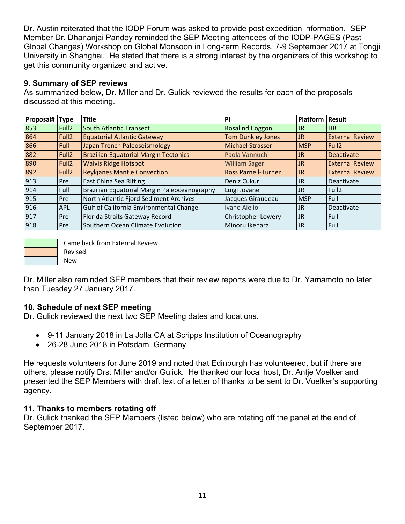Dr. Austin reiterated that the IODP Forum was asked to provide post expedition information. SEP Member Dr. Dhananjai Pandey reminded the SEP Meeting attendees of the IODP-PAGES (Past Global Changes) Workshop on Global Monsoon in Long-term Records, 7-9 September 2017 at Tongji University in Shanghai. He stated that there is a strong interest by the organizers of this workshop to get this community organized and active.

### **9. Summary of SEP reviews**

As summarized below, Dr. Miller and Dr. Gulick reviewed the results for each of the proposals discussed at this meeting.

| Proposal# Type   |                   | <b>Title</b>                                 | PI                         | Platform   Result |                        |
|------------------|-------------------|----------------------------------------------|----------------------------|-------------------|------------------------|
| 853              | Full <sub>2</sub> | <b>South Atlantic Transect</b>               | <b>Rosalind Coggon</b>     | JR                | HB                     |
| 864              | Full <sub>2</sub> | <b>Equatorial Atlantic Gateway</b>           | <b>Tom Dunkley Jones</b>   | <b>JR</b>         | <b>External Review</b> |
| 866              | Full              | Japan Trench Paleoseismology                 | <b>Michael Strasser</b>    | <b>MSP</b>        | Full <sub>2</sub>      |
| 882              | Full <sub>2</sub> | Brazilian Equatorial Margin Tectonics        | Paola Vannuchi             | <b>JR</b>         | <b>Deactivate</b>      |
| 890              | Full <sub>2</sub> | <b>Walvis Ridge Hotspot</b>                  | <b>William Sager</b>       | JR.               | <b>External Review</b> |
| 892              | Full <sub>2</sub> | <b>Reykjanes Mantle Convection</b>           | <b>Ross Parnell-Turner</b> | <b>JR</b>         | <b>External Review</b> |
| 913              | l Pre             | East China Sea Rifting                       | Deniz Cukur                | <b>JR</b>         | Deactivate             |
| 914              | Full              | Brazilian Equatorial Margin Paleoceanography | Luigi Jovane               | <b>JR</b>         | Full <sub>2</sub>      |
| $\overline{915}$ | l Pre             | North Atlantic Fjord Sediment Archives       | Jacques Giraudeau          | <b>MSP</b>        | Full                   |
| 916              | <b>APL</b>        | Gulf of California Environmental Change      | Ivano Aiello               | JR                | Deactivate             |
| $\overline{917}$ | l Pre             | Florida Straits Gateway Record               | Christopher Lowery         | IJR.              | Full                   |
| 918              | l Pre             | Southern Ocean Climate Evolution             | Minoru Ikehara             | IJR.              | Full                   |



Came back from External Review

Revised

New

Dr. Miller also reminded SEP members that their review reports were due to Dr. Yamamoto no later than Tuesday 27 January 2017.

## **10. Schedule of next SEP meeting**

Dr. Gulick reviewed the next two SEP Meeting dates and locations.

- 9-11 January 2018 in La Jolla CA at Scripps Institution of Oceanography
- 26-28 June 2018 in Potsdam, Germany

He requests volunteers for June 2019 and noted that Edinburgh has volunteered, but if there are others, please notify Drs. Miller and/or Gulick. He thanked our local host, Dr. Antje Voelker and presented the SEP Members with draft text of a letter of thanks to be sent to Dr. Voelker's supporting agency.

## **11. Thanks to members rotating off**

Dr. Gulick thanked the SEP Members (listed below) who are rotating off the panel at the end of September 2017.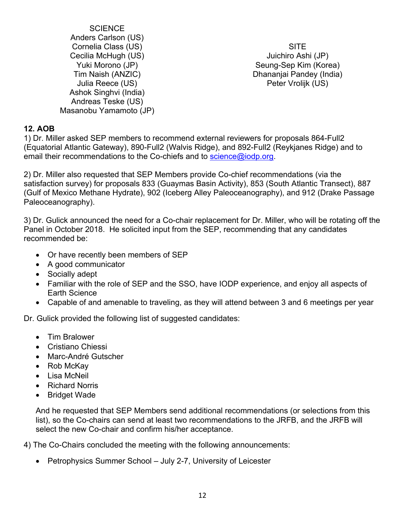**SCIENCE** Anders Carlson (US) Cornelia Class (US) Cecilia McHugh (US) Yuki Morono (JP) Tim Naish (ANZIC) Julia Reece (US) Ashok Singhvi (India) Andreas Teske (US) Masanobu Yamamoto (JP)

**SITE** Juichiro Ashi (JP) Seung-Sep Kim (Korea) Dhananjai Pandey (India) Peter Vrolijk (US)

## **12. AOB**

1) Dr. Miller asked SEP members to recommend external reviewers for proposals 864-Full2 (Equatorial Atlantic Gateway), 890-Full2 (Walvis Ridge), and 892-Full2 (Reykjanes Ridge) and to email their recommendations to the Co-chiefs and to [science@iodp.org.](mailto:science@iodp.org)

2) Dr. Miller also requested that SEP Members provide Co-chief recommendations (via the satisfaction survey) for proposals 833 (Guaymas Basin Activity), 853 (South Atlantic Transect), 887 (Gulf of Mexico Methane Hydrate), 902 (Iceberg Alley Paleoceanography), and 912 (Drake Passage Paleoceanography).

3) Dr. Gulick announced the need for a Co-chair replacement for Dr. Miller, who will be rotating off the Panel in October 2018. He solicited input from the SEP, recommending that any candidates recommended be:

- Or have recently been members of SEP
- A good communicator
- Socially adept
- Familiar with the role of SEP and the SSO, have IODP experience, and enjoy all aspects of Earth Science
- Capable of and amenable to traveling, as they will attend between 3 and 6 meetings per year

Dr. Gulick provided the following list of suggested candidates:

- Tim Bralower
- Cristiano Chiessi
- Marc-André Gutscher
- Rob McKay
- Lisa McNeil
- Richard Norris
- Bridget Wade

And he requested that SEP Members send additional recommendations (or selections from this list), so the Co-chairs can send at least two recommendations to the JRFB, and the JRFB will select the new Co-chair and confirm his/her acceptance.

4) The Co-Chairs concluded the meeting with the following announcements:

• Petrophysics Summer School – July 2-7, University of Leicester